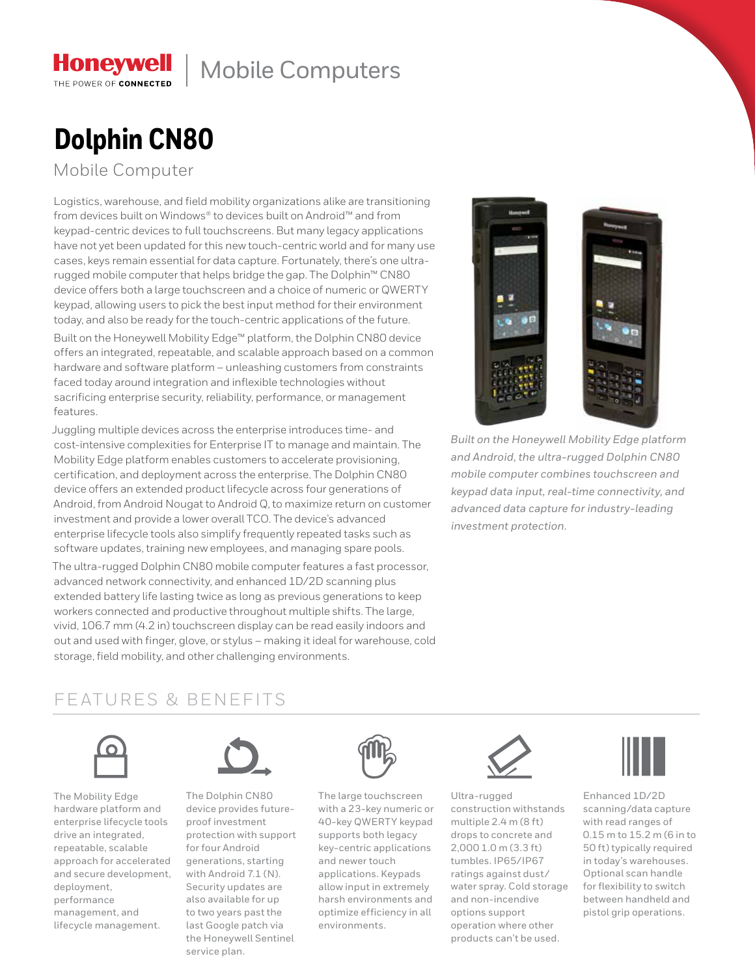# Honeywell | Mobile Computers

# **Dolphin CN80**

Mobile Computer

THE POWER OF CONNECTED

Logistics, warehouse, and field mobility organizations alike are transitioning from devices built on Windows® to devices built on Android™ and from keypad-centric devices to full touchscreens. But many legacy applications have not yet been updated for this new touch-centric world and for many use cases, keys remain essential for data capture. Fortunately, there's one ultrarugged mobile computer that helps bridge the gap. The Dolphin™ CN80 device offers both a large touchscreen and a choice of numeric or QWERTY keypad, allowing users to pick the best input method for their environment today, and also be ready for the touch-centric applications of the future.

Built on the Honeywell Mobility Edge™ platform, the Dolphin CN80 device offers an integrated, repeatable, and scalable approach based on a common hardware and software platform – unleashing customers from constraints faced today around integration and inflexible technologies without sacrificing enterprise security, reliability, performance, or management features.

Juggling multiple devices across the enterprise introduces time- and cost-intensive complexities for Enterprise IT to manage and maintain. The Mobility Edge platform enables customers to accelerate provisioning, certification, and deployment across the enterprise. The Dolphin CN80 device offers an extended product lifecycle across four generations of Android, from Android Nougat to Android Q, to maximize return on customer investment and provide a lower overall TCO. The device's advanced enterprise lifecycle tools also simplify frequently repeated tasks such as software updates, training new employees, and managing spare pools.

The ultra-rugged Dolphin CN80 mobile computer features a fast processor, advanced network connectivity, and enhanced 1D/2D scanning plus extended battery life lasting twice as long as previous generations to keep workers connected and productive throughout multiple shifts. The large, vivid, 106.7 mm (4.2 in) touchscreen display can be read easily indoors and out and used with finger, glove, or stylus – making it ideal for warehouse, cold storage, field mobility, and other challenging environments.



*Built on the Honeywell Mobility Edge platform and Android, the ultra-rugged Dolphin CN80 mobile computer combines touchscreen and keypad data input, real-time connectivity, and advanced data capture for industry-leading investment protection.*

# FEATURES & BENEFITS



The Mobility Edge hardware platform and enterprise lifecycle tools drive an integrated, repeatable, scalable approach for accelerated and secure development, deployment, performance management, and lifecycle management.



The Dolphin CN80 device provides futureproof investment protection with support for four Android generations, starting with Android 7.1 (N). Security updates are also available for up to two years past the last Google patch via the Honeywell Sentinel service plan.



The large touchscreen with a 23-key numeric or 40-key QWERTY keypad supports both legacy key-centric applications and newer touch applications. Keypads allow input in extremely harsh environments and optimize efficiency in all environments.



Ultra-rugged construction withstands multiple 2.4 m (8 ft) drops to concrete and 2,000 1.0 m (3.3 ft) tumbles. IP65/IP67 ratings against dust/ water spray. Cold storage and non-incendive options support operation where other products can't be used.



Enhanced 1D/2D scanning/data capture with read ranges of 0.15 m to 15.2 m (6 in to 50 ft) typically required in today's warehouses. Optional scan handle for flexibility to switch between handheld and pistol grip operations.